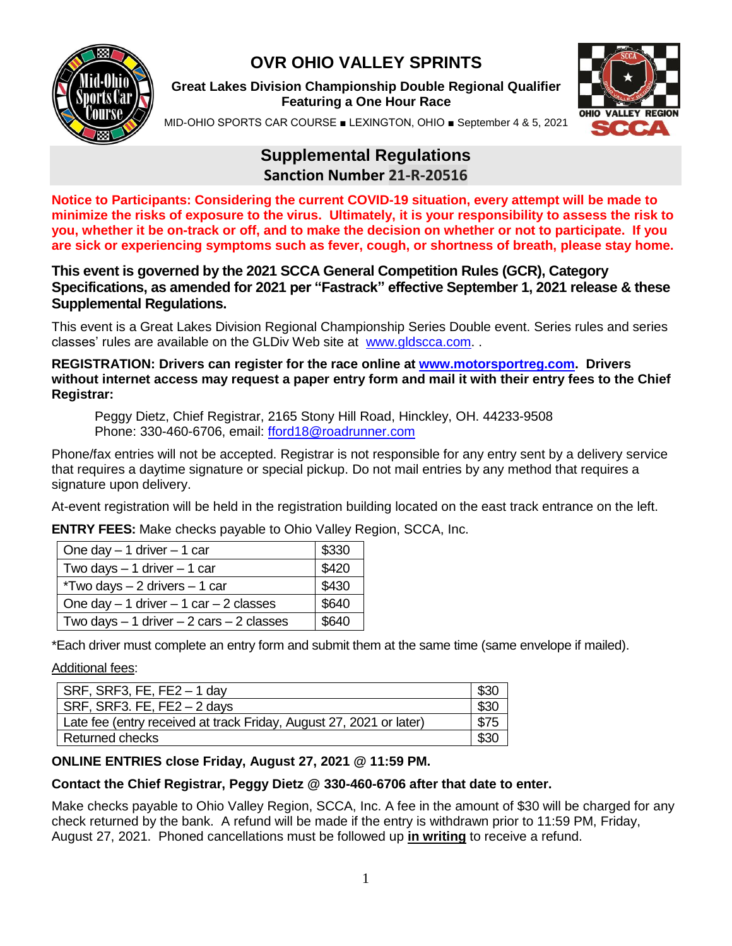

# **OVR OHIO VALLEY SPRINTS**

**Great Lakes Division Championship Double Regional Qualifier Featuring a One Hour Race**



MID-OHIO SPORTS CAR COURSE ■ LEXINGTON, OHIO ■ September 4 & 5, 2021

# **Supplemental Regulations Sanction Number 21-R-20516**

**Notice to Participants: Considering the current COVID-19 situation, every attempt will be made to minimize the risks of exposure to the virus. Ultimately, it is your responsibility to assess the risk to you, whether it be on-track or off, and to make the decision on whether or not to participate. If you are sick or experiencing symptoms such as fever, cough, or shortness of breath, please stay home.**

#### **This event is governed by the 2021 SCCA General Competition Rules (GCR), Category Specifications, as amended for 2021 per "Fastrack" effective September 1, 2021 release & these Supplemental Regulations.**

This event is a Great Lakes Division Regional Championship Series Double event. Series rules and series classes' rules are available on the GLDiv Web site at [www.gldscca.com.](http://www.gldscca.com/) .

**REGISTRATION: Drivers can register for the race online at [www.motorsportreg.com.](http://www.motorsportreg.com/) Drivers without internet access may request a paper entry form and mail it with their entry fees to the Chief Registrar:**

Peggy Dietz, Chief Registrar, 2165 Stony Hill Road, Hinckley, OH. 44233-9508 Phone: 330-460-6706, email: [fford18@roadrunner.com](mailto:fford18@roadrunner.com)

Phone/fax entries will not be accepted. Registrar is not responsible for any entry sent by a delivery service that requires a daytime signature or special pickup. Do not mail entries by any method that requires a signature upon delivery.

At-event registration will be held in the registration building located on the east track entrance on the left.

**ENTRY FEES:** Make checks payable to Ohio Valley Region, SCCA, Inc.

| One day $-1$ driver $-1$ car                | \$330 |
|---------------------------------------------|-------|
| Two days $-1$ driver $-1$ car               | \$420 |
| $*Two days - 2 drivers - 1 car$             | \$430 |
| One day $-1$ driver $-1$ car $-2$ classes   | \$640 |
| Two days $-1$ driver $-2$ cars $-2$ classes | \$640 |

\*Each driver must complete an entry form and submit them at the same time (same envelope if mailed).

Additional fees:

| $SRF$ , SRF3, FE, FE2 - 1 day                                       | \$30 |
|---------------------------------------------------------------------|------|
| $SRF$ , SRF3. FE, FE2 $-$ 2 days                                    | \$30 |
| Late fee (entry received at track Friday, August 27, 2021 or later) | \$75 |
| Returned checks                                                     | \$30 |

### **ONLINE ENTRIES close Friday, August 27, 2021 @ 11:59 PM.**

#### **Contact the Chief Registrar, Peggy Dietz @ 330-460-6706 after that date to enter.**

Make checks payable to Ohio Valley Region, SCCA, Inc. A fee in the amount of \$30 will be charged for any check returned by the bank. A refund will be made if the entry is withdrawn prior to 11:59 PM, Friday, August 27, 2021. Phoned cancellations must be followed up **in writing** to receive a refund.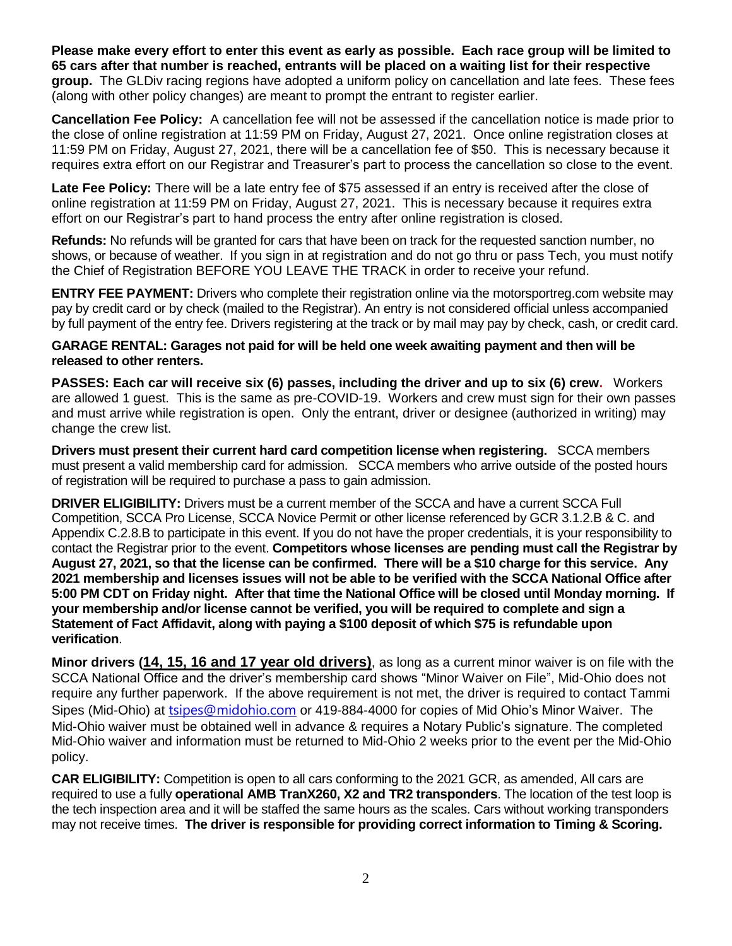**Please make every effort to enter this event as early as possible. Each race group will be limited to 65 cars after that number is reached, entrants will be placed on a waiting list for their respective group.** The GLDiv racing regions have adopted a uniform policy on cancellation and late fees. These fees (along with other policy changes) are meant to prompt the entrant to register earlier.

**Cancellation Fee Policy:** A cancellation fee will not be assessed if the cancellation notice is made prior to the close of online registration at 11:59 PM on Friday, August 27, 2021. Once online registration closes at 11:59 PM on Friday, August 27, 2021, there will be a cancellation fee of \$50. This is necessary because it requires extra effort on our Registrar and Treasurer's part to process the cancellation so close to the event.

**Late Fee Policy:** There will be a late entry fee of \$75 assessed if an entry is received after the close of online registration at 11:59 PM on Friday, August 27, 2021. This is necessary because it requires extra effort on our Registrar's part to hand process the entry after online registration is closed.

**Refunds:** No refunds will be granted for cars that have been on track for the requested sanction number, no shows, or because of weather. If you sign in at registration and do not go thru or pass Tech, you must notify the Chief of Registration BEFORE YOU LEAVE THE TRACK in order to receive your refund.

**ENTRY FEE PAYMENT:** Drivers who complete their registration online via the motorsportreg.com website may pay by credit card or by check (mailed to the Registrar). An entry is not considered official unless accompanied by full payment of the entry fee. Drivers registering at the track or by mail may pay by check, cash, or credit card.

#### **GARAGE RENTAL: Garages not paid for will be held one week awaiting payment and then will be released to other renters.**

**PASSES: Each car will receive six (6) passes, including the driver and up to six (6) crew.** Workers are allowed 1 guest. This is the same as pre-COVID-19. Workers and crew must sign for their own passes and must arrive while registration is open. Only the entrant, driver or designee (authorized in writing) may change the crew list.

**Drivers must present their current hard card competition license when registering.** SCCA members must present a valid membership card for admission. SCCA members who arrive outside of the posted hours of registration will be required to purchase a pass to gain admission.

**DRIVER ELIGIBILITY:** Drivers must be a current member of the SCCA and have a current SCCA Full Competition, SCCA Pro License, SCCA Novice Permit or other license referenced by GCR 3.1.2.B & C. and Appendix C.2.8.B to participate in this event. If you do not have the proper credentials, it is your responsibility to contact the Registrar prior to the event. **Competitors whose licenses are pending must call the Registrar by August 27, 2021, so that the license can be confirmed. There will be a \$10 charge for this service. Any 2021 membership and licenses issues will not be able to be verified with the SCCA National Office after 5:00 PM CDT on Friday night. After that time the National Office will be closed until Monday morning. If your membership and/or license cannot be verified, you will be required to complete and sign a Statement of Fact Affidavit, along with paying a \$100 deposit of which \$75 is refundable upon verification**.

**Minor drivers (14, 15, 16 and 17 year old drivers)**, as long as a current minor waiver is on file with the SCCA National Office and the driver's membership card shows "Minor Waiver on File", Mid-Ohio does not require any further paperwork. If the above requirement is not met, the driver is required to contact Tammi Sipes (Mid-Ohio) at [tsipes@midohio.com](mailto:tsipes@midohio.com) or 419-884-4000 for copies of Mid Ohio's Minor Waiver. The Mid-Ohio waiver must be obtained well in advance & requires a Notary Public's signature. The completed Mid-Ohio waiver and information must be returned to Mid-Ohio 2 weeks prior to the event per the Mid-Ohio policy.

**CAR ELIGIBILITY:** Competition is open to all cars conforming to the 2021 GCR, as amended, All cars are required to use a fully **operational AMB TranX260, X2 and TR2 transponders**. The location of the test loop is the tech inspection area and it will be staffed the same hours as the scales. Cars without working transponders may not receive times. **The driver is responsible for providing correct information to Timing & Scoring.**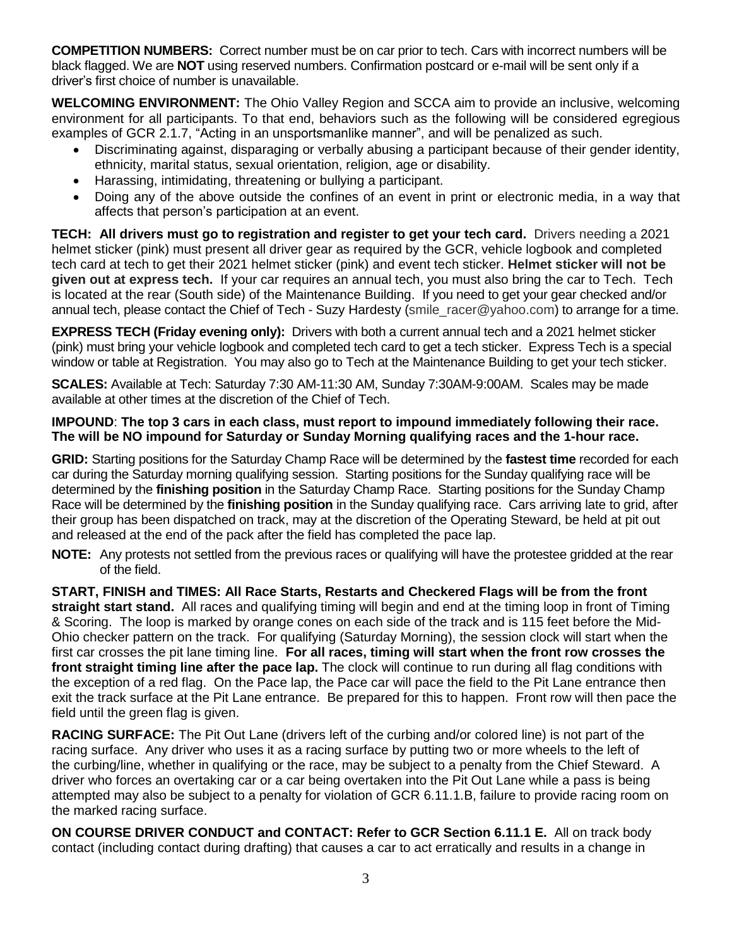**COMPETITION NUMBERS:** Correct number must be on car prior to tech. Cars with incorrect numbers will be black flagged. We are **NOT** using reserved numbers. Confirmation postcard or e-mail will be sent only if a driver's first choice of number is unavailable.

**WELCOMING ENVIRONMENT:** The Ohio Valley Region and SCCA aim to provide an inclusive, welcoming environment for all participants. To that end, behaviors such as the following will be considered egregious examples of GCR 2.1.7, "Acting in an unsportsmanlike manner", and will be penalized as such.

- Discriminating against, disparaging or verbally abusing a participant because of their gender identity, ethnicity, marital status, sexual orientation, religion, age or disability.
- Harassing, intimidating, threatening or bullying a participant.
- Doing any of the above outside the confines of an event in print or electronic media, in a way that affects that person's participation at an event.

**TECH: All drivers must go to registration and register to get your tech card.** Drivers needing a 2021 helmet sticker (pink) must present all driver gear as required by the GCR, vehicle logbook and completed tech card at tech to get their 2021 helmet sticker (pink) and event tech sticker. **Helmet sticker will not be given out at express tech.** If your car requires an annual tech, you must also bring the car to Tech. Tech is located at the rear (South side) of the Maintenance Building. If you need to get your gear checked and/or annual tech, please contact the Chief of Tech - Suzy Hardesty (smile\_racer@yahoo.com) to arrange for a time.

**EXPRESS TECH (Friday evening only):** Drivers with both a current annual tech and a 2021 helmet sticker (pink) must bring your vehicle logbook and completed tech card to get a tech sticker. Express Tech is a special window or table at Registration. You may also go to Tech at the Maintenance Building to get your tech sticker.

**SCALES:** Available at Tech: Saturday 7:30 AM-11:30 AM, Sunday 7:30AM-9:00AM. Scales may be made available at other times at the discretion of the Chief of Tech.

#### **IMPOUND**: **The top 3 cars in each class, must report to impound immediately following their race. The will be NO impound for Saturday or Sunday Morning qualifying races and the 1-hour race.**

**GRID:** Starting positions for the Saturday Champ Race will be determined by the **fastest time** recorded for each car during the Saturday morning qualifying session. Starting positions for the Sunday qualifying race will be determined by the **finishing position** in the Saturday Champ Race. Starting positions for the Sunday Champ Race will be determined by the **finishing position** in the Sunday qualifying race. Cars arriving late to grid, after their group has been dispatched on track, may at the discretion of the Operating Steward, be held at pit out and released at the end of the pack after the field has completed the pace lap.

**NOTE:** Any protests not settled from the previous races or qualifying will have the protestee gridded at the rear of the field.

**START, FINISH and TIMES: All Race Starts, Restarts and Checkered Flags will be from the front straight start stand.** All races and qualifying timing will begin and end at the timing loop in front of Timing & Scoring. The loop is marked by orange cones on each side of the track and is 115 feet before the Mid-Ohio checker pattern on the track. For qualifying (Saturday Morning), the session clock will start when the first car crosses the pit lane timing line. **For all races, timing will start when the front row crosses the front straight timing line after the pace lap.** The clock will continue to run during all flag conditions with the exception of a red flag. On the Pace lap, the Pace car will pace the field to the Pit Lane entrance then exit the track surface at the Pit Lane entrance. Be prepared for this to happen. Front row will then pace the field until the green flag is given.

**RACING SURFACE:** The Pit Out Lane (drivers left of the curbing and/or colored line) is not part of the racing surface. Any driver who uses it as a racing surface by putting two or more wheels to the left of the curbing/line, whether in qualifying or the race, may be subject to a penalty from the Chief Steward. A driver who forces an overtaking car or a car being overtaken into the Pit Out Lane while a pass is being attempted may also be subject to a penalty for violation of GCR 6.11.1.B, failure to provide racing room on the marked racing surface.

**ON COURSE DRIVER CONDUCT and CONTACT: Refer to GCR Section 6.11.1 E.** All on track body contact (including contact during drafting) that causes a car to act erratically and results in a change in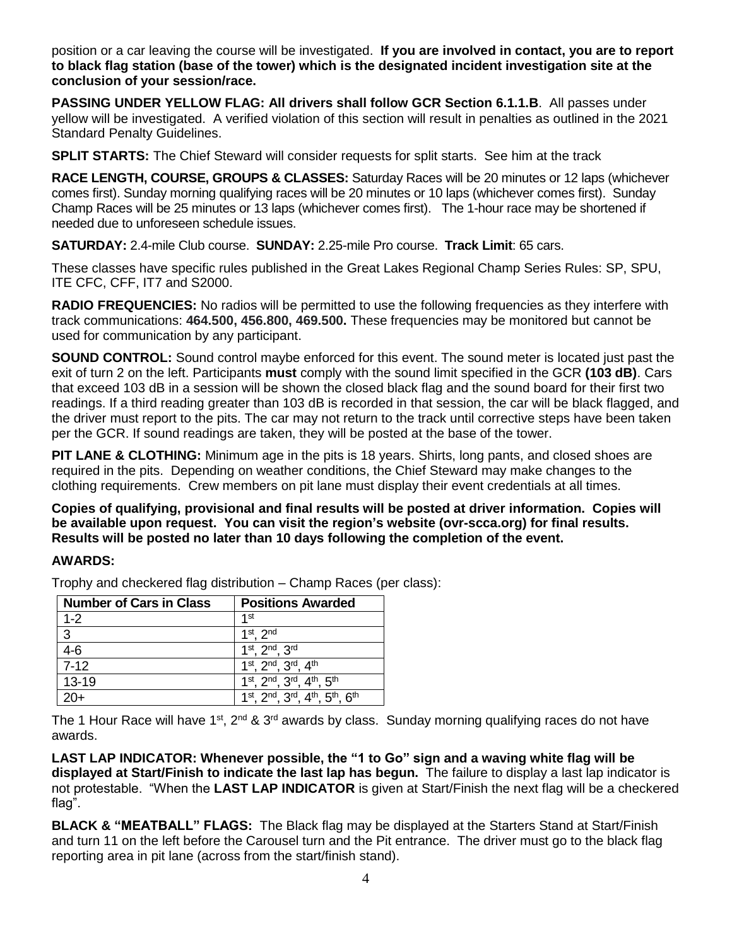position or a car leaving the course will be investigated. **If you are involved in contact, you are to report to black flag station (base of the tower) which is the designated incident investigation site at the conclusion of your session/race.**

**PASSING UNDER YELLOW FLAG: All drivers shall follow GCR Section 6.1.1.B**. All passes under yellow will be investigated. A verified violation of this section will result in penalties as outlined in the 2021 Standard Penalty Guidelines.

**SPLIT STARTS:** The Chief Steward will consider requests for split starts. See him at the track

**RACE LENGTH, COURSE, GROUPS & CLASSES:** Saturday Races will be 20 minutes or 12 laps (whichever comes first). Sunday morning qualifying races will be 20 minutes or 10 laps (whichever comes first). Sunday Champ Races will be 25 minutes or 13 laps (whichever comes first). The 1-hour race may be shortened if needed due to unforeseen schedule issues.

**SATURDAY:** 2.4-mile Club course. **SUNDAY:** 2.25-mile Pro course. **Track Limit**: 65 cars.

These classes have specific rules published in the Great Lakes Regional Champ Series Rules: SP, SPU, ITE CFC, CFF, IT7 and S2000.

**RADIO FREQUENCIES:** No radios will be permitted to use the following frequencies as they interfere with track communications: **464.500, 456.800, 469.500.** These frequencies may be monitored but cannot be used for communication by any participant.

**SOUND CONTROL:** Sound control maybe enforced for this event. The sound meter is located just past the exit of turn 2 on the left. Participants **must** comply with the sound limit specified in the GCR **(103 dB)**. Cars that exceed 103 dB in a session will be shown the closed black flag and the sound board for their first two readings. If a third reading greater than 103 dB is recorded in that session, the car will be black flagged, and the driver must report to the pits. The car may not return to the track until corrective steps have been taken per the GCR. If sound readings are taken, they will be posted at the base of the tower.

**PIT LANE & CLOTHING:** Minimum age in the pits is 18 years. Shirts, long pants, and closed shoes are required in the pits. Depending on weather conditions, the Chief Steward may make changes to the clothing requirements. Crew members on pit lane must display their event credentials at all times.

**Copies of qualifying, provisional and final results will be posted at driver information. Copies will be available upon request. You can visit the region's website (ovr-scca.org) for final results. Results will be posted no later than 10 days following the completion of the event.**

#### **AWARDS:**

| <b>Number of Cars in Class</b> | <b>Positions Awarded</b>                                                                |
|--------------------------------|-----------------------------------------------------------------------------------------|
| $1 - 2$                        | 1 <sub>st</sub>                                                                         |
| 3                              | $1st$ 2nd                                                                               |
| $4-6$                          | $1^{st}$ , $2^{nd}$ , $3^{rd}$                                                          |
| $7-12$                         | 1st, 2nd, 3rd, 4th                                                                      |
| $13 - 19$                      | 1 <sup>st</sup> , 2 <sup>nd</sup> , 3 <sup>rd</sup> , 4 <sup>th</sup> , 5 <sup>th</sup> |
| 20+                            | 1st, 2nd, 3rd, 4th, 5th, 6th                                                            |

Trophy and checkered flag distribution – Champ Races (per class):

The 1 Hour Race will have 1<sup>st</sup>, 2<sup>nd</sup> & 3<sup>rd</sup> awards by class. Sunday morning qualifying races do not have awards.

**LAST LAP INDICATOR: Whenever possible, the "1 to Go" sign and a waving white flag will be displayed at Start/Finish to indicate the last lap has begun.** The failure to display a last lap indicator is not protestable. "When the **LAST LAP INDICATOR** is given at Start/Finish the next flag will be a checkered flag".

**BLACK & "MEATBALL" FLAGS:** The Black flag may be displayed at the Starters Stand at Start/Finish and turn 11 on the left before the Carousel turn and the Pit entrance. The driver must go to the black flag reporting area in pit lane (across from the start/finish stand).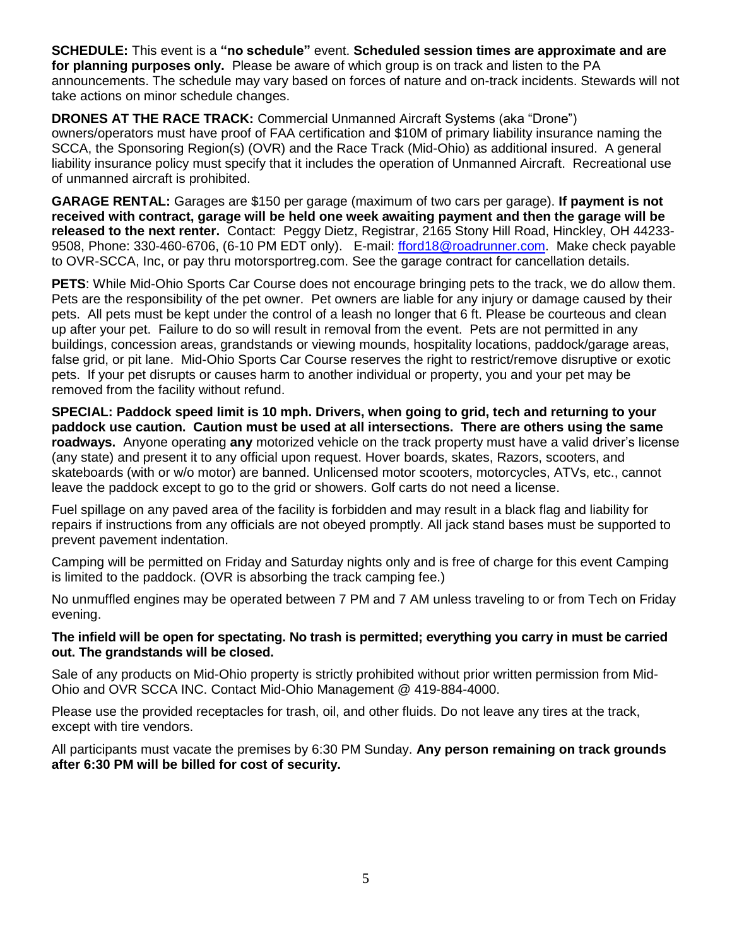**SCHEDULE:** This event is a **"no schedule"** event. **Scheduled session times are approximate and are for planning purposes only.** Please be aware of which group is on track and listen to the PA announcements. The schedule may vary based on forces of nature and on-track incidents. Stewards will not take actions on minor schedule changes.

**DRONES AT THE RACE TRACK:** Commercial Unmanned Aircraft Systems (aka "Drone") owners/operators must have proof of FAA certification and \$10M of primary liability insurance naming the SCCA, the Sponsoring Region(s) (OVR) and the Race Track (Mid-Ohio) as additional insured. A general liability insurance policy must specify that it includes the operation of Unmanned Aircraft. Recreational use of unmanned aircraft is prohibited.

**GARAGE RENTAL:** Garages are \$150 per garage (maximum of two cars per garage). **If payment is not received with contract, garage will be held one week awaiting payment and then the garage will be released to the next renter.** Contact: Peggy Dietz, Registrar, 2165 Stony Hill Road, Hinckley, OH 44233 9508, Phone: 330-460-6706, (6-10 PM EDT only). E-mail: [fford18@roadrunner.com.](mailto:fford18@roadrunner.com) Make check payable to OVR-SCCA, Inc, or pay thru motorsportreg.com. See the garage contract for cancellation details.

**PETS**: While Mid-Ohio Sports Car Course does not encourage bringing pets to the track, we do allow them. Pets are the responsibility of the pet owner. Pet owners are liable for any injury or damage caused by their pets. All pets must be kept under the control of a leash no longer that 6 ft. Please be courteous and clean up after your pet. Failure to do so will result in removal from the event. Pets are not permitted in any buildings, concession areas, grandstands or viewing mounds, hospitality locations, paddock/garage areas, false grid, or pit lane. Mid-Ohio Sports Car Course reserves the right to restrict/remove disruptive or exotic pets. If your pet disrupts or causes harm to another individual or property, you and your pet may be removed from the facility without refund.

**SPECIAL: Paddock speed limit is 10 mph. Drivers, when going to grid, tech and returning to your paddock use caution. Caution must be used at all intersections. There are others using the same roadways.** Anyone operating **any** motorized vehicle on the track property must have a valid driver's license (any state) and present it to any official upon request. Hover boards, skates, Razors, scooters, and skateboards (with or w/o motor) are banned. Unlicensed motor scooters, motorcycles, ATVs, etc., cannot leave the paddock except to go to the grid or showers. Golf carts do not need a license.

Fuel spillage on any paved area of the facility is forbidden and may result in a black flag and liability for repairs if instructions from any officials are not obeyed promptly. All jack stand bases must be supported to prevent pavement indentation.

Camping will be permitted on Friday and Saturday nights only and is free of charge for this event Camping is limited to the paddock. (OVR is absorbing the track camping fee.)

No unmuffled engines may be operated between 7 PM and 7 AM unless traveling to or from Tech on Friday evening.

#### **The infield will be open for spectating. No trash is permitted; everything you carry in must be carried out. The grandstands will be closed.**

Sale of any products on Mid-Ohio property is strictly prohibited without prior written permission from Mid-Ohio and OVR SCCA INC. Contact Mid-Ohio Management @ 419-884-4000.

Please use the provided receptacles for trash, oil, and other fluids. Do not leave any tires at the track, except with tire vendors.

All participants must vacate the premises by 6:30 PM Sunday. **Any person remaining on track grounds after 6:30 PM will be billed for cost of security.**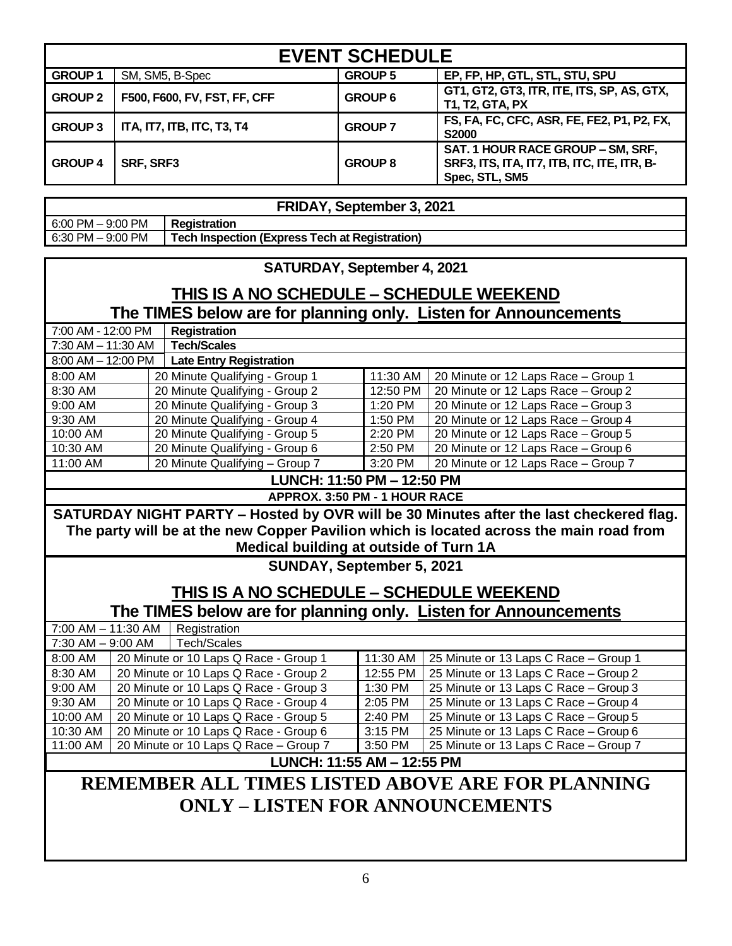| <b>EVENT SCHEDULE</b>                                                         |  |                              |                                                                                                    |                                                               |
|-------------------------------------------------------------------------------|--|------------------------------|----------------------------------------------------------------------------------------------------|---------------------------------------------------------------|
| <b>GROUP1</b>                                                                 |  | SM, SM5, B-Spec              | <b>GROUP 5</b>                                                                                     | EP, FP, HP, GTL, STL, STU, SPU                                |
| <b>GROUP 2</b>                                                                |  | F500, F600, FV, FST, FF, CFF | <b>GROUP 6</b>                                                                                     | GT1, GT2, GT3, ITR, ITE, ITS, SP, AS, GTX,<br>T1, T2, GTA, PX |
| <b>GROUP 3</b>                                                                |  | ITA, IT7, ITB, ITC, T3, T4   | <b>GROUP 7</b>                                                                                     | FS, FA, FC, CFC, ASR, FE, FE2, P1, P2, FX,<br><b>S2000</b>    |
| <b>GROUP 4</b><br>SRF, SRF3                                                   |  | <b>GROUP 8</b>               | SAT. 1 HOUR RACE GROUP - SM, SRF,<br>SRF3, ITS, ITA, IT7, ITB, ITC, ITE, ITR, B-<br>Spec, STL, SM5 |                                                               |
|                                                                               |  |                              |                                                                                                    |                                                               |
| FRIDAY, September 3, 2021                                                     |  |                              |                                                                                                    |                                                               |
| $6:00$ PM $-9:00$ PM                                                          |  | <b>Registration</b>          |                                                                                                    |                                                               |
| <b>Tech Inspection (Express Tech at Registration)</b><br>$6:30$ PM $-9:00$ PM |  |                              |                                                                                                    |                                                               |

#### **SATURDAY, September 4, 2021**

## **THIS IS A NO SCHEDULE – SCHEDULE WEEKEND The TIMES below are for planning only. Listen for Announcements**

| 7:00 AM - 12:00 PM                |  | <b>Registration</b>            |          |                                     |
|-----------------------------------|--|--------------------------------|----------|-------------------------------------|
| $7:30$ AM $- 11:30$ AM            |  | <b>Tech/Scales</b>             |          |                                     |
| $8:00$ AM $-$ 12:00 PM            |  | <b>Late Entry Registration</b> |          |                                     |
| 8:00 AM                           |  | 20 Minute Qualifying - Group 1 | 11:30 AM | 20 Minute or 12 Laps Race - Group 1 |
| 8:30 AM                           |  | 20 Minute Qualifying - Group 2 | 12:50 PM | 20 Minute or 12 Laps Race - Group 2 |
| 9:00 AM                           |  | 20 Minute Qualifying - Group 3 | 1:20 PM  | 20 Minute or 12 Laps Race - Group 3 |
| $9:30$ AM                         |  | 20 Minute Qualifying - Group 4 | 1:50 PM  | 20 Minute or 12 Laps Race - Group 4 |
| 10:00 AM                          |  | 20 Minute Qualifying - Group 5 | 2:20 PM  | 20 Minute or 12 Laps Race - Group 5 |
| 10:30 AM                          |  | 20 Minute Qualifying - Group 6 | 2:50 PM  | 20 Minute or 12 Laps Race - Group 6 |
| 11:00 AM                          |  | 20 Minute Qualifying - Group 7 | 3:20 PM  | 20 Minute or 12 Laps Race - Group 7 |
| <b>LUNCH: 11:50 PM - 12:50 PM</b> |  |                                |          |                                     |

**APPROX. 3:50 PM - 1 HOUR RACE**

**SATURDAY NIGHT PARTY – Hosted by OVR will be 30 Minutes after the last checkered flag. The party will be at the new Copper Pavilion which is located across the main road from Medical building at outside of Turn 1A**

**SUNDAY, September 5, 2021**

# **THIS IS A NO SCHEDULE – SCHEDULE WEEKEND**

**The TIMES below are for planning only. Listen for Announcements**

| 7:00 AM - 11:30 AM                               |  | Registration                          |           |                                       |
|--------------------------------------------------|--|---------------------------------------|-----------|---------------------------------------|
| $7:30$ AM $-9:00$ AM                             |  | Tech/Scales                           |           |                                       |
| 8:00 AM                                          |  | 20 Minute or 10 Laps Q Race - Group 1 | 11:30 AM  | 25 Minute or 13 Laps C Race - Group 1 |
| 8:30 AM                                          |  | 20 Minute or 10 Laps Q Race - Group 2 | 12:55 PM  | 25 Minute or 13 Laps C Race - Group 2 |
| 9:00 AM                                          |  | 20 Minute or 10 Laps Q Race - Group 3 | 1:30 PM   | 25 Minute or 13 Laps C Race - Group 3 |
| 9:30 AM                                          |  | 20 Minute or 10 Laps Q Race - Group 4 | 2:05 PM   | 25 Minute or 13 Laps C Race - Group 4 |
| 10:00 AM                                         |  | 20 Minute or 10 Laps Q Race - Group 5 | $2:40$ PM | 25 Minute or 13 Laps C Race - Group 5 |
| 10:30 AM                                         |  | 20 Minute or 10 Laps Q Race - Group 6 | 3:15 PM   | 25 Minute or 13 Laps C Race - Group 6 |
| 11:00 AM                                         |  | 20 Minute or 10 Laps Q Race - Group 7 | 3:50 PM   | 25 Minute or 13 Laps C Race - Group 7 |
| LUNCH: 11:55 AM - 12:55 PM                       |  |                                       |           |                                       |
| REMEMBER ALL TIMES LISTED ABOVE ARE FOR PLANNING |  |                                       |           |                                       |
| <b>ONLY - LISTEN FOR ANNOUNCEMENTS</b>           |  |                                       |           |                                       |
|                                                  |  |                                       |           |                                       |